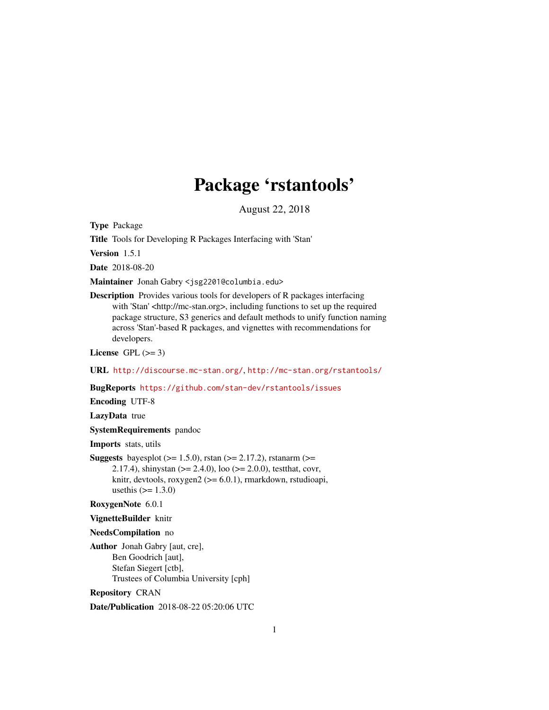## Package 'rstantools'

August 22, 2018

<span id="page-0-0"></span>Type Package

Title Tools for Developing R Packages Interfacing with 'Stan'

Version 1.5.1

Date 2018-08-20

Maintainer Jonah Gabry <jsg2201@columbia.edu>

Description Provides various tools for developers of R packages interfacing with 'Stan' <http://mc-stan.org>, including functions to set up the required package structure, S3 generics and default methods to unify function naming across 'Stan'-based R packages, and vignettes with recommendations for developers.

License GPL  $(>= 3)$ 

URL <http://discourse.mc-stan.org/>, <http://mc-stan.org/rstantools/>

BugReports <https://github.com/stan-dev/rstantools/issues>

Encoding UTF-8

LazyData true

SystemRequirements pandoc

Imports stats, utils

**Suggests** bayesplot ( $>= 1.5.0$ ), rstan ( $>= 2.17.2$ ), rstanarm ( $>= 1.5.0$ 2.17.4), shinystan (>= 2.4.0), loo (>= 2.0.0), testthat, covr, knitr, devtools, roxygen $2$  ( $>= 6.0.1$ ), rmarkdown, rstudioapi, usethis  $(>= 1.3.0)$ 

RoxygenNote 6.0.1

VignetteBuilder knitr

NeedsCompilation no

Author Jonah Gabry [aut, cre], Ben Goodrich [aut], Stefan Siegert [ctb], Trustees of Columbia University [cph]

Repository CRAN

Date/Publication 2018-08-22 05:20:06 UTC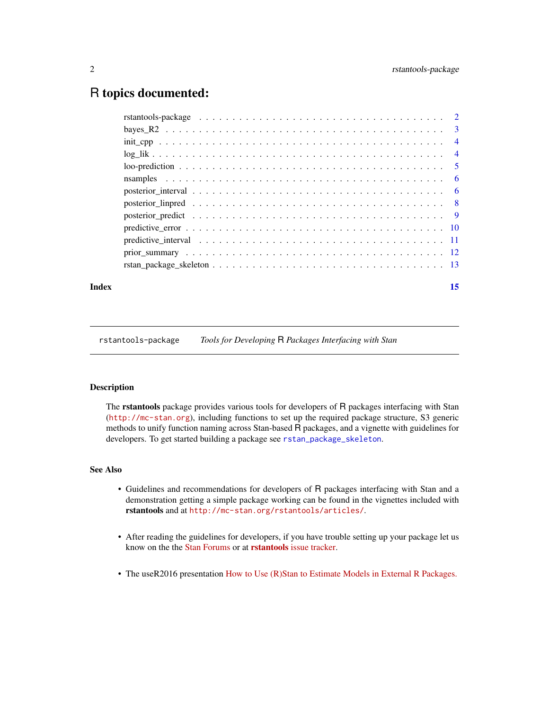## <span id="page-1-0"></span>R topics documented:

| rstantools-package $\ldots \ldots \ldots \ldots \ldots \ldots \ldots \ldots \ldots \ldots \ldots \ldots \ldots 2$ |  |
|-------------------------------------------------------------------------------------------------------------------|--|
|                                                                                                                   |  |
|                                                                                                                   |  |
|                                                                                                                   |  |
|                                                                                                                   |  |
|                                                                                                                   |  |
|                                                                                                                   |  |
|                                                                                                                   |  |
|                                                                                                                   |  |
|                                                                                                                   |  |
|                                                                                                                   |  |
|                                                                                                                   |  |
|                                                                                                                   |  |
|                                                                                                                   |  |

#### **Index** [15](#page-14-0)

rstantools-package *Tools for Developing* R *Packages Interfacing with Stan*

#### Description

The rstantools package provides various tools for developers of R packages interfacing with Stan (<http://mc-stan.org>), including functions to set up the required package structure, S3 generic methods to unify function naming across Stan-based R packages, and a vignette with guidelines for developers. To get started building a package see [rstan\\_package\\_skeleton](#page-12-1).

## See Also

- Guidelines and recommendations for developers of R packages interfacing with Stan and a demonstration getting a simple package working can be found in the vignettes included with rstantools and at <http://mc-stan.org/rstantools/articles/>.
- After reading the guidelines for developers, if you have trouble setting up your package let us know on the the [Stan Forums](http://discourse.mc-stan.org) or at rstantools [issue tracker.](https://github.com/stan-dev/rstantools/issues)
- The useR2016 presentation [How to Use \(R\)Stan to Estimate Models in External R Packages.](https://channel9.msdn.com/Events/useR-international-R-User-conferences/useR-International-R-User-2017-Conference/How-to-Use-RStan-to-Estimate-Models-in-External-R-Packages)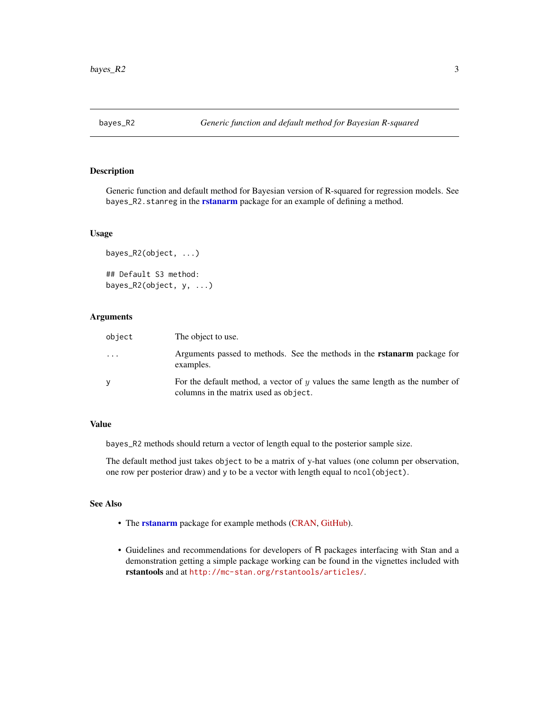<span id="page-2-0"></span>

Generic function and default method for Bayesian version of R-squared for regression models. See bayes\_R2.stanreg in the **[rstanarm](#page-0-0)** package for an example of defining a method.

## Usage

```
bayes_R2(object, ...)
## Default S3 method:
bayes_R2(object, y, ...)
```
#### Arguments

| object    | The object to use.                                                                                                          |
|-----------|-----------------------------------------------------------------------------------------------------------------------------|
| $\ddotsc$ | Arguments passed to methods. See the methods in the <b>rstanarm</b> package for<br>examples.                                |
| v         | For the default method, a vector of $\eta$ values the same length as the number of<br>columns in the matrix used as object. |

## Value

bayes\_R2 methods should return a vector of length equal to the posterior sample size.

The default method just takes object to be a matrix of y-hat values (one column per observation, one row per posterior draw) and y to be a vector with length equal to ncol(object).

#### See Also

- The [rstanarm](#page-0-0) package for example methods [\(CRAN,](https://CRAN.R-project.org/package=rstanarm) [GitHub\)](https://github.com/stan-dev/rstanarm).
- Guidelines and recommendations for developers of R packages interfacing with Stan and a demonstration getting a simple package working can be found in the vignettes included with rstantools and at <http://mc-stan.org/rstantools/articles/>.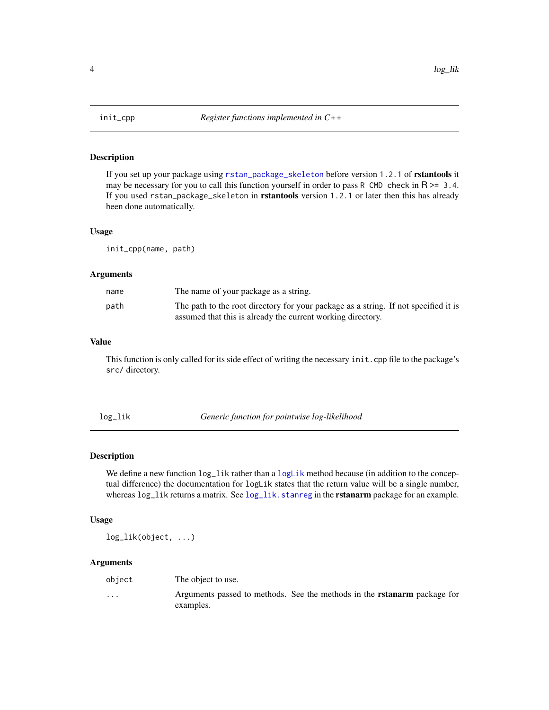<span id="page-3-0"></span>

If you set up your package using [rstan\\_package\\_skeleton](#page-12-1) before version 1.2.1 of rstantools it may be necessary for you to call this function yourself in order to pass R CMD check in  $R \ge 3.4$ . If you used rstan\_package\_skeleton in rstantools version 1.2.1 or later then this has already been done automatically.

#### Usage

init\_cpp(name, path)

#### Arguments

| name | The name of your package as a string.                                               |
|------|-------------------------------------------------------------------------------------|
| path | The path to the root directory for your package as a string. If not specified it is |
|      | assumed that this is already the current working directory.                         |

## Value

This function is only called for its side effect of writing the necessary init.cpp file to the package's src/ directory.

log\_lik *Generic function for pointwise log-likelihood*

#### Description

We define a new function  $log\_lik$  rather than a  $logLik$  method because (in addition to the conceptual difference) the documentation for logLik states that the return value will be a single number, whereas log\_lik returns a matrix. See [log\\_lik.stanreg](#page-0-0) in the **rstanarm** package for an example.

#### Usage

log\_lik(object, ...)

#### Arguments

| object   | The object to use.                                                                           |  |  |
|----------|----------------------------------------------------------------------------------------------|--|--|
| $\cdots$ | Arguments passed to methods. See the methods in the <b>rstanarm</b> package for<br>examples. |  |  |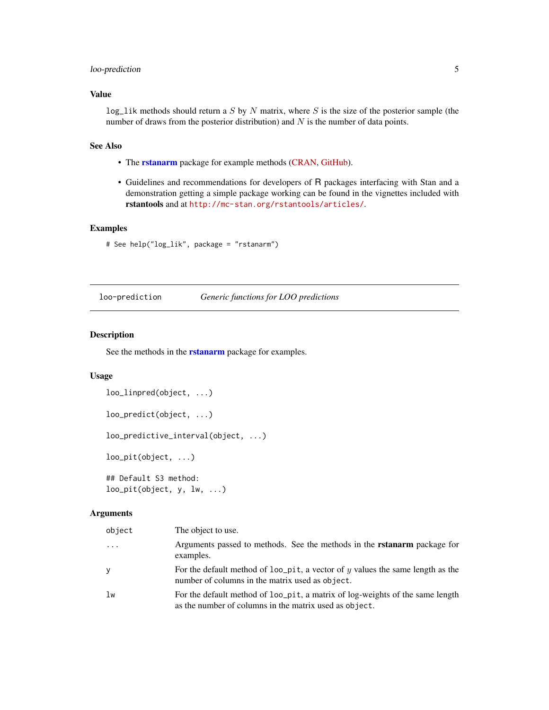## <span id="page-4-0"></span>loo-prediction 5

## Value

 $log\_lik$  methods should return a S by N matrix, where S is the size of the posterior sample (the number of draws from the posterior distribution) and  $N$  is the number of data points.

## See Also

- The [rstanarm](#page-0-0) package for example methods [\(CRAN,](https://CRAN.R-project.org/package=rstanarm) [GitHub\)](https://github.com/stan-dev/rstanarm).
- Guidelines and recommendations for developers of R packages interfacing with Stan and a demonstration getting a simple package working can be found in the vignettes included with rstantools and at <http://mc-stan.org/rstantools/articles/>.

#### Examples

```
# See help("log_lik", package = "rstanarm")
```
loo-prediction *Generic functions for LOO predictions*

## Description

See the methods in the **[rstanarm](#page-0-0)** package for examples.

#### Usage

```
loo_linpred(object, ...)
```

```
loo_predict(object, ...)
```
loo\_predictive\_interval(object, ...)

loo\_pit(object, ...)

## Default S3 method:  $loopit(object, y, lw, ...)$ 

#### Arguments

| object | The object to use.                                                                                                                       |
|--------|------------------------------------------------------------------------------------------------------------------------------------------|
| .      | Arguments passed to methods. See the methods in the <b>rstanarm</b> package for<br>examples.                                             |
| у      | For the default method of $loop$ and $up$ a vector of y values the same length as the<br>number of columns in the matrix used as object. |
| lw     | For the default method of loo_pit, a matrix of log-weights of the same length<br>as the number of columns in the matrix used as object.  |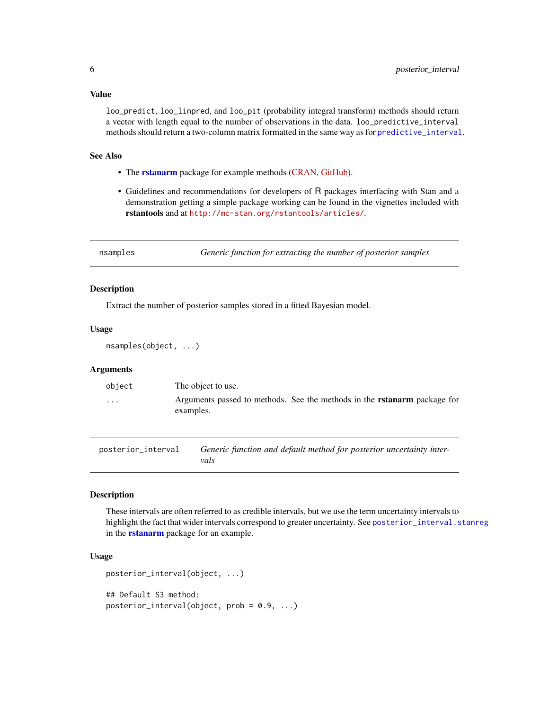#### <span id="page-5-0"></span>Value

loo\_predict, loo\_linpred, and loo\_pit (probability integral transform) methods should return a vector with length equal to the number of observations in the data. loo\_predictive\_interval methods should return a two-column matrix formatted in the same way as for [predictive\\_interval](#page-10-1).

#### See Also

- The **[rstanarm](#page-0-0)** package for example methods [\(CRAN,](https://CRAN.R-project.org/package=rstanarm) [GitHub\)](https://github.com/stan-dev/rstanarm).
- Guidelines and recommendations for developers of R packages interfacing with Stan and a demonstration getting a simple package working can be found in the vignettes included with rstantools and at <http://mc-stan.org/rstantools/articles/>.

nsamples *Generic function for extracting the number of posterior samples*

#### Description

Extract the number of posterior samples stored in a fitted Bayesian model.

## Usage

nsamples(object, ...)

## Arguments

| object   | The object to use.                                                                           |  |  |
|----------|----------------------------------------------------------------------------------------------|--|--|
| $\cdots$ | Arguments passed to methods. See the methods in the <b>rstanarm</b> package for<br>examples. |  |  |

posterior\_interval *Generic function and default method for posterior uncertainty intervals*

## **Description**

These intervals are often referred to as credible intervals, but we use the term uncertainty intervals to highlight the fact that wider intervals correspond to greater uncertainty. See [posterior\\_interval.stanreg](#page-0-0) in the **[rstanarm](#page-0-0)** package for an example.

## Usage

```
posterior_interval(object, ...)
## Default S3 method:
posterior_interval(object, prob = 0.9, ...)
```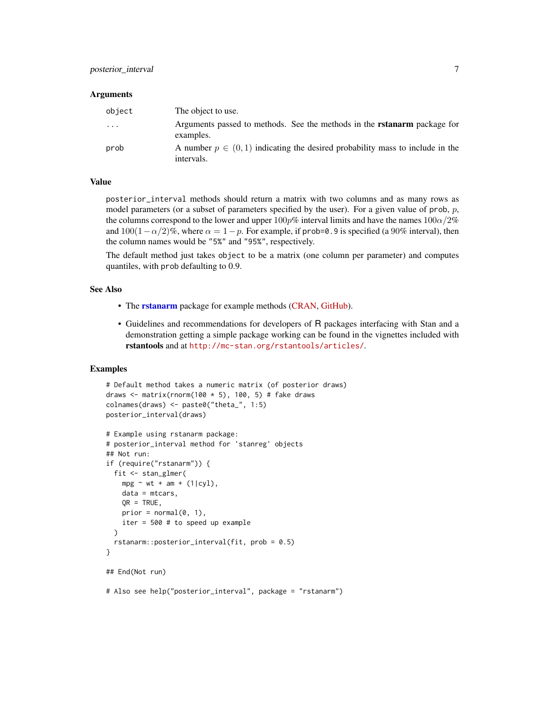#### **Arguments**

| object  | The object to use.                                                                              |
|---------|-------------------------------------------------------------------------------------------------|
| $\cdot$ | Arguments passed to methods. See the methods in the <b>rstanarm</b> package for<br>examples.    |
| prob    | A number $p \in (0, 1)$ indicating the desired probability mass to include in the<br>intervals. |

#### Value

posterior\_interval methods should return a matrix with two columns and as many rows as model parameters (or a subset of parameters specified by the user). For a given value of prob,  $p$ , the columns correspond to the lower and upper  $100p\%$  interval limits and have the names  $100\alpha/2\%$ and  $100(1-\alpha/2)\%$ , where  $\alpha = 1-p$ . For example, if prob=0.9 is specified (a 90% interval), then the column names would be "5%" and "95%", respectively.

The default method just takes object to be a matrix (one column per parameter) and computes quantiles, with prob defaulting to 0.9.

#### See Also

- The [rstanarm](#page-0-0) package for example methods [\(CRAN,](https://CRAN.R-project.org/package=rstanarm) [GitHub\)](https://github.com/stan-dev/rstanarm).
- Guidelines and recommendations for developers of R packages interfacing with Stan and a demonstration getting a simple package working can be found in the vignettes included with rstantools and at <http://mc-stan.org/rstantools/articles/>.

```
# Default method takes a numeric matrix (of posterior draws)
draws \le matrix(rnorm(100 \neq 5), 100, 5) # fake draws
colnames(draws) <- paste0("theta_", 1:5)
posterior_interval(draws)
# Example using rstanarm package:
# posterior_interval method for 'stanreg' objects
## Not run:
if (require("rstanarm")) {
 fit <- stan_glmer(
   mpg \sim wt + am + (1|cyl),data = mtcars,
   QR = TRUE,prior = normal(0, 1),
   iter = 500 # to speed up example
 \lambdarstanarm::posterior_interval(fit, prob = 0.5)
}
## End(Not run)
# Also see help("posterior_interval", package = "rstanarm")
```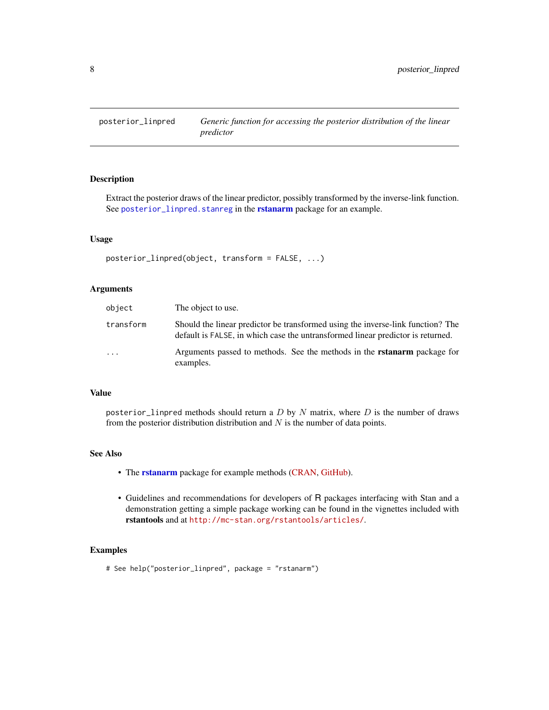<span id="page-7-0"></span>

Extract the posterior draws of the linear predictor, possibly transformed by the inverse-link function. See [posterior\\_linpred.stanreg](#page-0-0) in the [rstanarm](#page-0-0) package for an example.

#### Usage

```
posterior_linpred(object, transform = FALSE, ...)
```
#### Arguments

| object    | The object to use.                                                                                                                                                 |
|-----------|--------------------------------------------------------------------------------------------------------------------------------------------------------------------|
| transform | Should the linear predictor be transformed using the inverse-link function? The<br>default is FALSE, in which case the untransformed linear predictor is returned. |
| $\cdot$   | Arguments passed to methods. See the methods in the <b>rstanarm</b> package for<br>examples.                                                                       |

#### Value

posterior\_linpred methods should return a  $D$  by  $N$  matrix, where  $D$  is the number of draws from the posterior distribution distribution and  $N$  is the number of data points.

## See Also

- The [rstanarm](#page-0-0) package for example methods [\(CRAN,](https://CRAN.R-project.org/package=rstanarm) [GitHub\)](https://github.com/stan-dev/rstanarm).
- Guidelines and recommendations for developers of R packages interfacing with Stan and a demonstration getting a simple package working can be found in the vignettes included with rstantools and at <http://mc-stan.org/rstantools/articles/>.

#### Examples

# See help("posterior\_linpred", package = "rstanarm")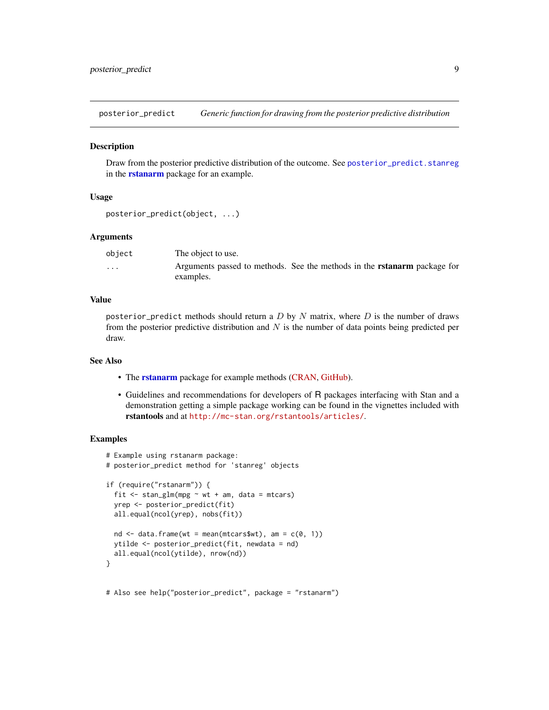<span id="page-8-0"></span>posterior\_predict *Generic function for drawing from the posterior predictive distribution*

#### **Description**

Draw from the posterior predictive distribution of the outcome. See [posterior\\_predict.stanreg](#page-0-0) in the **[rstanarm](#page-0-0)** package for an example.

## Usage

```
posterior_predict(object, ...)
```
#### Arguments

| object                  | The object to use.                                                              |  |  |
|-------------------------|---------------------------------------------------------------------------------|--|--|
| $\cdot$ $\cdot$ $\cdot$ | Arguments passed to methods. See the methods in the <b>rstanarm</b> package for |  |  |
|                         | examples.                                                                       |  |  |

#### Value

posterior\_predict methods should return a D by N matrix, where D is the number of draws from the posterior predictive distribution and  $N$  is the number of data points being predicted per draw.

## See Also

- The **[rstanarm](#page-0-0)** package for example methods [\(CRAN,](https://CRAN.R-project.org/package=rstanarm) [GitHub\)](https://github.com/stan-dev/rstanarm).
- Guidelines and recommendations for developers of R packages interfacing with Stan and a demonstration getting a simple package working can be found in the vignettes included with rstantools and at <http://mc-stan.org/rstantools/articles/>.

```
# Example using rstanarm package:
# posterior_predict method for 'stanreg' objects
if (require("rstanarm")) {
 fit \le stan_glm(mpg \sim wt + am, data = mtcars)
 yrep <- posterior_predict(fit)
 all.equal(ncol(yrep), nobs(fit))
 nd \le data.frame(wt = mean(mtcars$wt), am = c(0, 1))
 ytilde <- posterior_predict(fit, newdata = nd)
 all.equal(ncol(ytilde), nrow(nd))
}
# Also see help("posterior_predict", package = "rstanarm")
```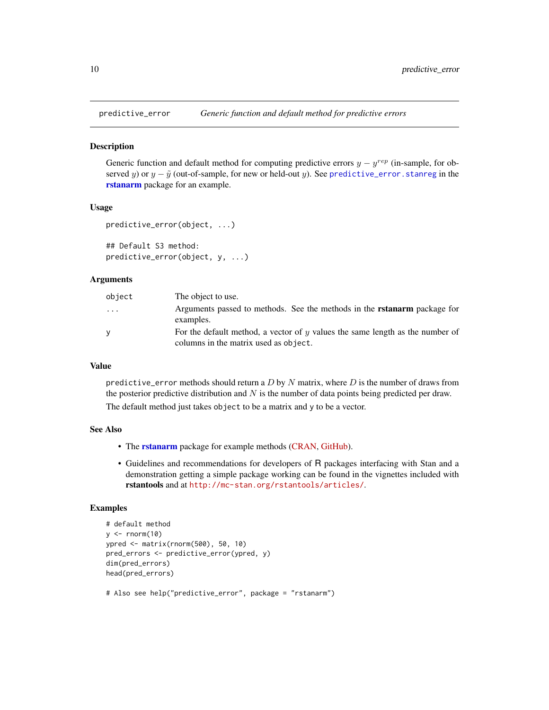<span id="page-9-0"></span>

Generic function and default method for computing predictive errors  $y - y^{rep}$  (in-sample, for observed y) or  $y - \tilde{y}$  (out-of-sample, for new or held-out y). See [predictive\\_error.stanreg](#page-0-0) in the [rstanarm](#page-0-0) package for an example.

#### Usage

```
predictive_error(object, ...)
```
## Default S3 method: predictive\_error(object, y, ...)

#### Arguments

| object | The object to use.                                                                                                          |
|--------|-----------------------------------------------------------------------------------------------------------------------------|
| .      | Arguments passed to methods. See the methods in the <b>rstanarm</b> package for<br>examples.                                |
| v      | For the default method, a vector of $\eta$ values the same length as the number of<br>columns in the matrix used as object. |

## Value

predictive\_error methods should return a  $D$  by  $N$  matrix, where  $D$  is the number of draws from the posterior predictive distribution and  $N$  is the number of data points being predicted per draw. The default method just takes object to be a matrix and y to be a vector.

#### See Also

- The **[rstanarm](#page-0-0)** package for example methods [\(CRAN,](https://CRAN.R-project.org/package=rstanarm) [GitHub\)](https://github.com/stan-dev/rstanarm).
- Guidelines and recommendations for developers of R packages interfacing with Stan and a demonstration getting a simple package working can be found in the vignettes included with rstantools and at <http://mc-stan.org/rstantools/articles/>.

```
# default method
y \le - rnorm(10)
ypred <- matrix(rnorm(500), 50, 10)
pred_errors <- predictive_error(ypred, y)
dim(pred_errors)
head(pred_errors)
```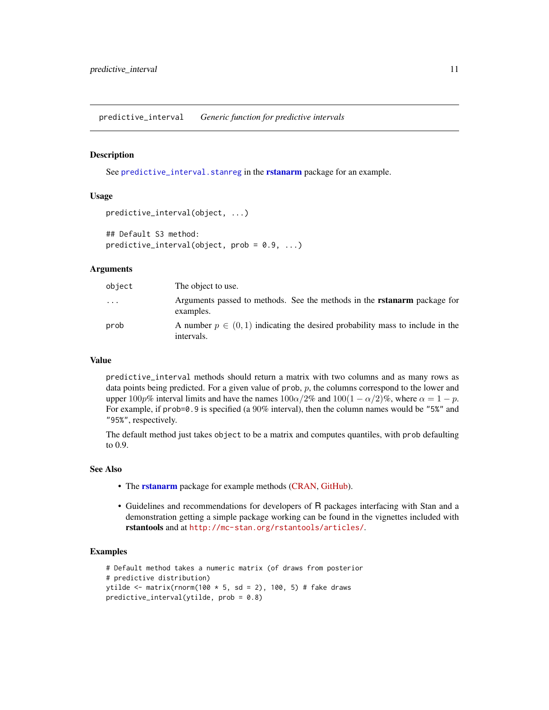<span id="page-10-1"></span><span id="page-10-0"></span>predictive\_interval *Generic function for predictive intervals*

#### Description

See [predictive\\_interval.stanreg](#page-0-0) in the [rstanarm](#page-0-0) package for an example.

#### Usage

```
predictive_interval(object, ...)
```

```
## Default S3 method:
predictive_interval(object, prob = 0.9, ...)
```
#### Arguments

| object   | The object to use.                                                                             |
|----------|------------------------------------------------------------------------------------------------|
| $\cdots$ | Arguments passed to methods. See the methods in the <b>rstanarm</b> package for<br>examples.   |
| prob     | A number $p \in (0,1)$ indicating the desired probability mass to include in the<br>intervals. |

## Value

predictive\_interval methods should return a matrix with two columns and as many rows as data points being predicted. For a given value of prob,  $p$ , the columns correspond to the lower and upper 100p% interval limits and have the names  $100\alpha/2\%$  and  $100(1 - \alpha/2)\%$ , where  $\alpha = 1 - p$ . For example, if prob=0.9 is specified (a 90% interval), then the column names would be "5%" and "95%", respectively.

The default method just takes object to be a matrix and computes quantiles, with prob defaulting to 0.9.

## See Also

- The **[rstanarm](#page-0-0)** package for example methods [\(CRAN,](https://CRAN.R-project.org/package=rstanarm) [GitHub\)](https://github.com/stan-dev/rstanarm).
- Guidelines and recommendations for developers of R packages interfacing with Stan and a demonstration getting a simple package working can be found in the vignettes included with rstantools and at <http://mc-stan.org/rstantools/articles/>.

```
# Default method takes a numeric matrix (of draws from posterior
# predictive distribution)
ytilde <- matrix(rnorm(100 * 5, sd = 2), 100, 5) # fake draws
predictive_interval(ytilde, prob = 0.8)
```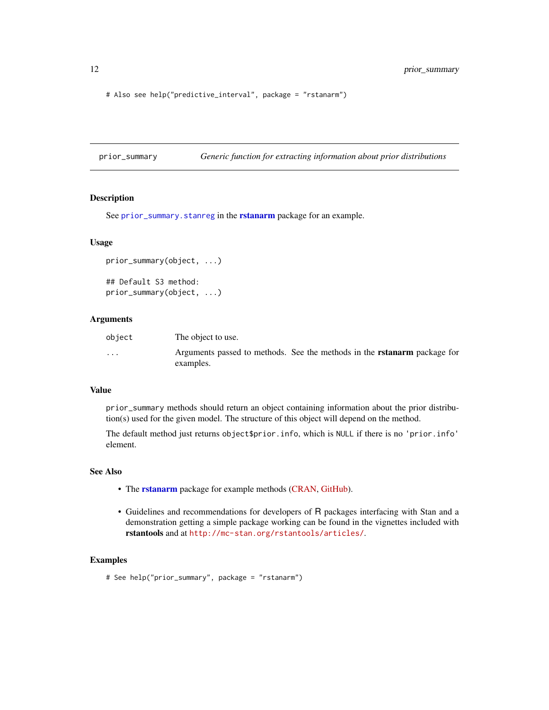# Also see help("predictive\_interval", package = "rstanarm")

prior\_summary *Generic function for extracting information about prior distributions*

#### Description

See [prior\\_summary.stanreg](#page-0-0) in the [rstanarm](#page-0-0) package for an example.

#### Usage

```
prior_summary(object, ...)
## Default S3 method:
prior_summary(object, ...)
```
#### Arguments

| object                  | The object to use.                                                              |
|-------------------------|---------------------------------------------------------------------------------|
| $\cdot$ $\cdot$ $\cdot$ | Arguments passed to methods. See the methods in the <b>rstanarm</b> package for |
|                         | examples.                                                                       |

#### Value

prior\_summary methods should return an object containing information about the prior distribution(s) used for the given model. The structure of this object will depend on the method.

The default method just returns object\$prior.info, which is NULL if there is no 'prior.info' element.

## See Also

- The [rstanarm](#page-0-0) package for example methods [\(CRAN,](https://CRAN.R-project.org/package=rstanarm) [GitHub\)](https://github.com/stan-dev/rstanarm).
- Guidelines and recommendations for developers of R packages interfacing with Stan and a demonstration getting a simple package working can be found in the vignettes included with rstantools and at <http://mc-stan.org/rstantools/articles/>.

#### Examples

# See help("prior\_summary", package = "rstanarm")

<span id="page-11-0"></span>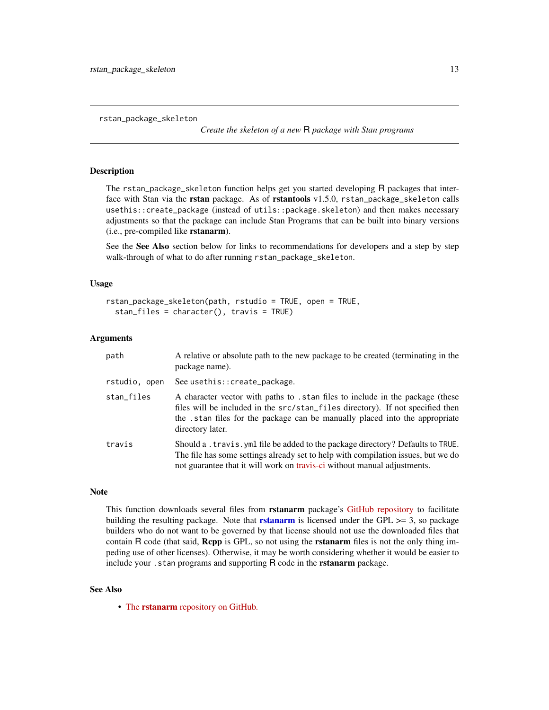<span id="page-12-1"></span><span id="page-12-0"></span>rstan\_package\_skeleton

*Create the skeleton of a new* R *package with Stan programs*

#### **Description**

The rstan\_package\_skeleton function helps get you started developing R packages that interface with Stan via the rstan package. As of rstantools v1.5.0, rstan\_package\_skeleton calls usethis::create\_package (instead of utils::package.skeleton) and then makes necessary adjustments so that the package can include Stan Programs that can be built into binary versions (i.e., pre-compiled like rstanarm).

See the See Also section below for links to recommendations for developers and a step by step walk-through of what to do after running rstan\_package\_skeleton.

#### Usage

```
rstan_package_skeleton(path, rstudio = TRUE, open = TRUE,
  stan_files = character(), travis = TRUE)
```
#### Arguments

| path          | A relative or absolute path to the new package to be created (terminating in the<br>package name).                                                                                                                                                                  |
|---------------|---------------------------------------------------------------------------------------------------------------------------------------------------------------------------------------------------------------------------------------------------------------------|
| rstudio, open | See usethis:: create_package.                                                                                                                                                                                                                                       |
| stan_files    | A character vector with paths to . stan files to include in the package (these<br>files will be included in the src/stan_files directory). If not specified then<br>the .stan files for the package can be manually placed into the appropriate<br>directory later. |
| travis        | Should a . travis. yml file be added to the package directory? Defaults to TRUE.<br>The file has some settings already set to help with compilation issues, but we do<br>not guarantee that it will work on travis-ci without manual adjustments.                   |

#### Note

This function downloads several files from **rstanarm** package's [GitHub repository](http://github.com/stan-dev/rstanarm) to facilitate building the resulting package. Note that **[rstanarm](#page-0-0)** is licensed under the GPL  $\geq$  = 3, so package builders who do not want to be governed by that license should not use the downloaded files that contain R code (that said, Repp is GPL, so not using the **rstanarm** files is not the only thing impeding use of other licenses). Otherwise, it may be worth considering whether it would be easier to include your . stan programs and supporting R code in the **rstanarm** package.

#### See Also

• The rstanarm [repository on GitHub.](https://github.com/stan-dev/rstanarm)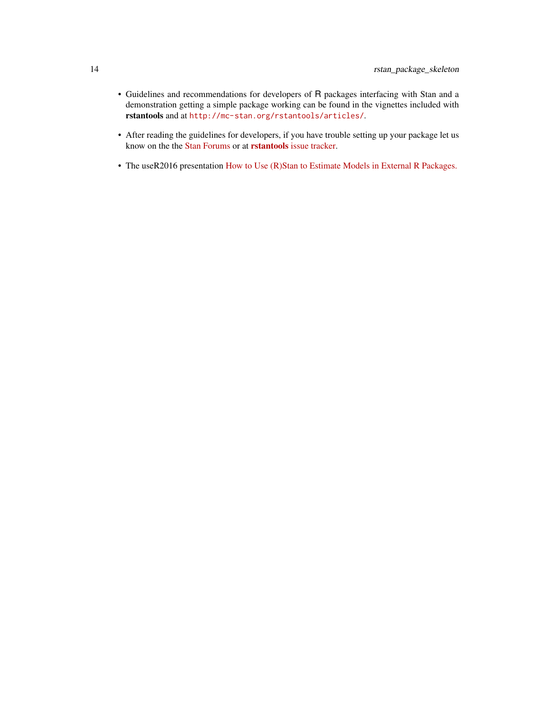- Guidelines and recommendations for developers of R packages interfacing with Stan and a demonstration getting a simple package working can be found in the vignettes included with rstantools and at <http://mc-stan.org/rstantools/articles/>.
- After reading the guidelines for developers, if you have trouble setting up your package let us know on the the [Stan Forums](http://discourse.mc-stan.org) or at rstantools [issue tracker.](https://github.com/stan-dev/rstantools/issues)
- The useR2016 presentation [How to Use \(R\)Stan to Estimate Models in External R Packages.](https://channel9.msdn.com/Events/useR-international-R-User-conferences/useR-International-R-User-2017-Conference/How-to-Use-RStan-to-Estimate-Models-in-External-R-Packages)